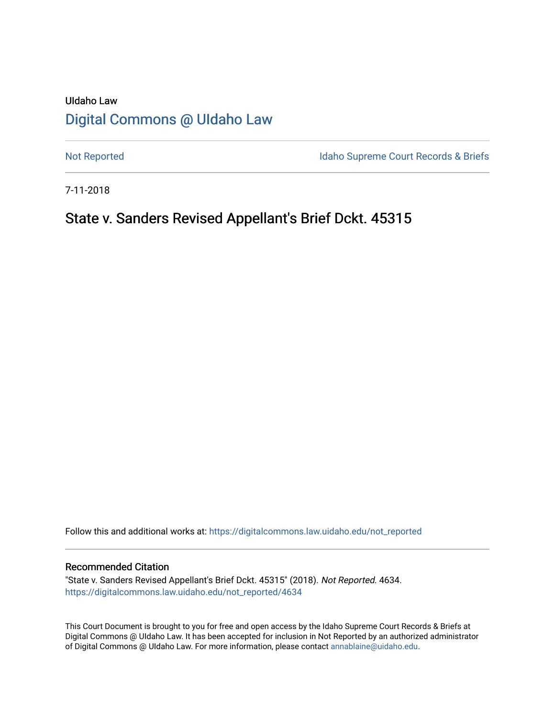# UIdaho Law [Digital Commons @ UIdaho Law](https://digitalcommons.law.uidaho.edu/)

[Not Reported](https://digitalcommons.law.uidaho.edu/not_reported) **Idaho Supreme Court Records & Briefs** 

7-11-2018

# State v. Sanders Revised Appellant's Brief Dckt. 45315

Follow this and additional works at: [https://digitalcommons.law.uidaho.edu/not\\_reported](https://digitalcommons.law.uidaho.edu/not_reported?utm_source=digitalcommons.law.uidaho.edu%2Fnot_reported%2F4634&utm_medium=PDF&utm_campaign=PDFCoverPages) 

#### Recommended Citation

"State v. Sanders Revised Appellant's Brief Dckt. 45315" (2018). Not Reported. 4634. [https://digitalcommons.law.uidaho.edu/not\\_reported/4634](https://digitalcommons.law.uidaho.edu/not_reported/4634?utm_source=digitalcommons.law.uidaho.edu%2Fnot_reported%2F4634&utm_medium=PDF&utm_campaign=PDFCoverPages)

This Court Document is brought to you for free and open access by the Idaho Supreme Court Records & Briefs at Digital Commons @ UIdaho Law. It has been accepted for inclusion in Not Reported by an authorized administrator of Digital Commons @ UIdaho Law. For more information, please contact [annablaine@uidaho.edu](mailto:annablaine@uidaho.edu).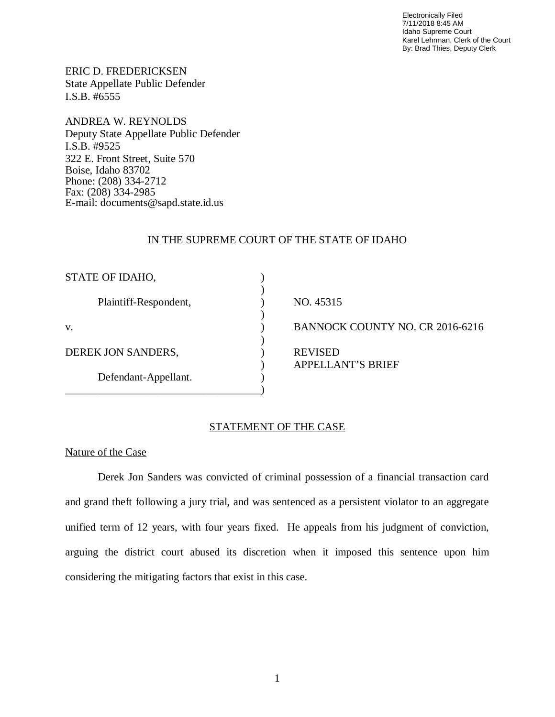Electronically Filed 7/11/2018 8:45 AM Idaho Supreme Court Karel Lehrman, Clerk of the Court By: Brad Thies, Deputy Clerk

ERIC D. FREDERICKSEN State Appellate Public Defender I.S.B. #6555

ANDREA W. REYNOLDS Deputy State Appellate Public Defender I.S.B. #9525 322 E. Front Street, Suite 570 Boise, Idaho 83702 Phone: (208) 334-2712 Fax: (208) 334-2985 E-mail: documents@sapd.state.id.us

### IN THE SUPREME COURT OF THE STATE OF IDAHO

| STATE OF IDAHO,       |                                            |
|-----------------------|--------------------------------------------|
| Plaintiff-Respondent, | NO. 45315                                  |
| V.                    | BANNOCK COUNTY NO. CR 2016-6216            |
| DEREK JON SANDERS,    | <b>REVISED</b><br><b>APPELLANT'S BRIEF</b> |
| Defendant-Appellant.  |                                            |

### STATEMENT OF THE CASE

#### Nature of the Case

Derek Jon Sanders was convicted of criminal possession of a financial transaction card and grand theft following a jury trial, and was sentenced as a persistent violator to an aggregate unified term of 12 years, with four years fixed. He appeals from his judgment of conviction, arguing the district court abused its discretion when it imposed this sentence upon him considering the mitigating factors that exist in this case.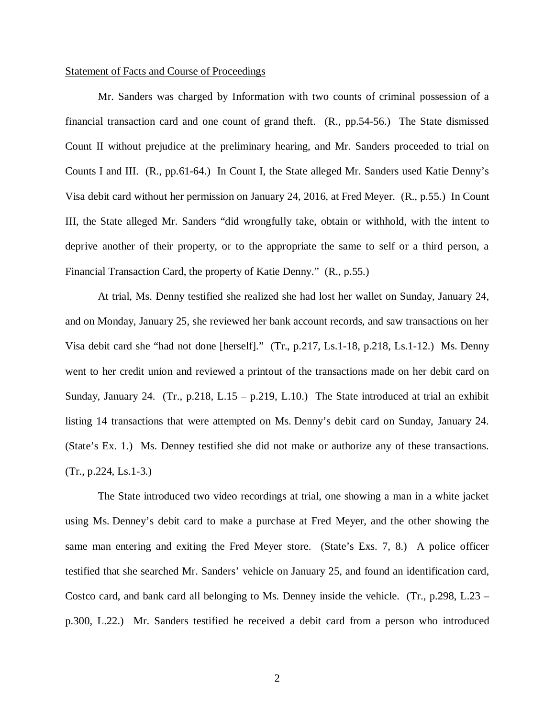#### Statement of Facts and Course of Proceedings

Mr. Sanders was charged by Information with two counts of criminal possession of a financial transaction card and one count of grand theft. (R., pp.54-56.) The State dismissed Count II without prejudice at the preliminary hearing, and Mr. Sanders proceeded to trial on Counts I and III. (R., pp.61-64.) In Count I, the State alleged Mr. Sanders used Katie Denny's Visa debit card without her permission on January 24, 2016, at Fred Meyer. (R., p.55.) In Count III, the State alleged Mr. Sanders "did wrongfully take, obtain or withhold, with the intent to deprive another of their property, or to the appropriate the same to self or a third person, a Financial Transaction Card, the property of Katie Denny." (R., p.55.)

At trial, Ms. Denny testified she realized she had lost her wallet on Sunday, January 24, and on Monday, January 25, she reviewed her bank account records, and saw transactions on her Visa debit card she "had not done [herself]." (Tr., p.217, Ls.1-18, p.218, Ls.1-12.) Ms. Denny went to her credit union and reviewed a printout of the transactions made on her debit card on Sunday, January 24. (Tr., p.218, L.15 – p.219, L.10.) The State introduced at trial an exhibit listing 14 transactions that were attempted on Ms. Denny's debit card on Sunday, January 24. (State's Ex. 1.) Ms. Denney testified she did not make or authorize any of these transactions. (Tr., p.224, Ls.1-3.)

The State introduced two video recordings at trial, one showing a man in a white jacket using Ms. Denney's debit card to make a purchase at Fred Meyer, and the other showing the same man entering and exiting the Fred Meyer store. (State's Exs. 7, 8.) A police officer testified that she searched Mr. Sanders' vehicle on January 25, and found an identification card, Costco card, and bank card all belonging to Ms. Denney inside the vehicle. (Tr., p.298, L.23 – p.300, L.22.) Mr. Sanders testified he received a debit card from a person who introduced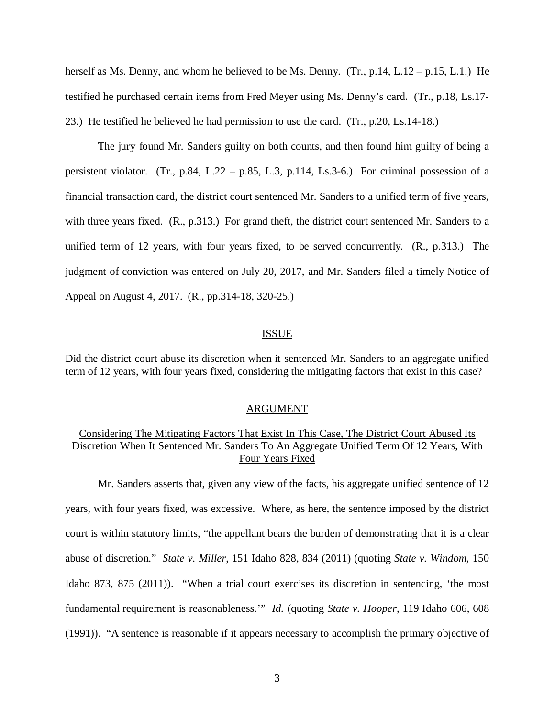herself as Ms. Denny, and whom he believed to be Ms. Denny.  $(Tr, p.14, L.12 - p.15, L.1.)$  He testified he purchased certain items from Fred Meyer using Ms. Denny's card. (Tr., p.18, Ls.17- 23.) He testified he believed he had permission to use the card. (Tr., p.20, Ls.14-18.)

The jury found Mr. Sanders guilty on both counts, and then found him guilty of being a persistent violator. (Tr., p.84, L.22 – p.85, L.3, p.114, Ls.3-6.) For criminal possession of a financial transaction card, the district court sentenced Mr. Sanders to a unified term of five years, with three years fixed. (R., p.313.) For grand theft, the district court sentenced Mr. Sanders to a unified term of 12 years, with four years fixed, to be served concurrently. (R., p.313.) The judgment of conviction was entered on July 20, 2017, and Mr. Sanders filed a timely Notice of Appeal on August 4, 2017. (R., pp.314-18, 320-25.)

#### ISSUE

Did the district court abuse its discretion when it sentenced Mr. Sanders to an aggregate unified term of 12 years, with four years fixed, considering the mitigating factors that exist in this case?

#### ARGUMENT

## Considering The Mitigating Factors That Exist In This Case, The District Court Abused Its Discretion When It Sentenced Mr. Sanders To An Aggregate Unified Term Of 12 Years, With Four Years Fixed

Mr. Sanders asserts that, given any view of the facts, his aggregate unified sentence of 12 years, with four years fixed, was excessive. Where, as here, the sentence imposed by the district court is within statutory limits, "the appellant bears the burden of demonstrating that it is a clear abuse of discretion." *State v. Miller*, 151 Idaho 828, 834 (2011) (quoting *State v. Windom*, 150 Idaho 873, 875 (2011)). "When a trial court exercises its discretion in sentencing, 'the most fundamental requirement is reasonableness.'" *Id.* (quoting *State v. Hooper*, 119 Idaho 606, 608 (1991)). "A sentence is reasonable if it appears necessary to accomplish the primary objective of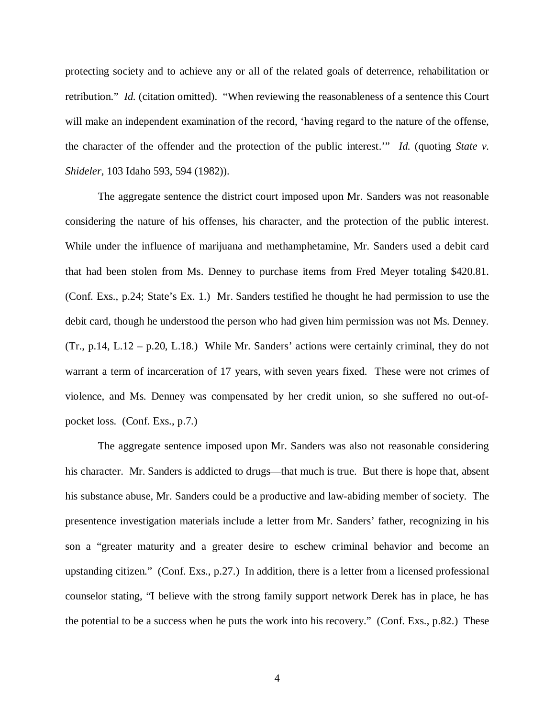protecting society and to achieve any or all of the related goals of deterrence, rehabilitation or retribution." *Id.* (citation omitted). "When reviewing the reasonableness of a sentence this Court will make an independent examination of the record, 'having regard to the nature of the offense, the character of the offender and the protection of the public interest.'" *Id.* (quoting *State v. Shideler*, 103 Idaho 593, 594 (1982)).

The aggregate sentence the district court imposed upon Mr. Sanders was not reasonable considering the nature of his offenses, his character, and the protection of the public interest. While under the influence of marijuana and methamphetamine, Mr. Sanders used a debit card that had been stolen from Ms. Denney to purchase items from Fred Meyer totaling \$420.81. (Conf. Exs., p.24; State's Ex. 1.) Mr. Sanders testified he thought he had permission to use the debit card, though he understood the person who had given him permission was not Ms. Denney. (Tr., p.14, L.12 – p.20, L.18.) While Mr. Sanders' actions were certainly criminal, they do not warrant a term of incarceration of 17 years, with seven years fixed. These were not crimes of violence, and Ms. Denney was compensated by her credit union, so she suffered no out-ofpocket loss. (Conf. Exs., p.7.)

The aggregate sentence imposed upon Mr. Sanders was also not reasonable considering his character. Mr. Sanders is addicted to drugs—that much is true. But there is hope that, absent his substance abuse, Mr. Sanders could be a productive and law-abiding member of society. The presentence investigation materials include a letter from Mr. Sanders' father, recognizing in his son a "greater maturity and a greater desire to eschew criminal behavior and become an upstanding citizen." (Conf. Exs., p.27.) In addition, there is a letter from a licensed professional counselor stating, "I believe with the strong family support network Derek has in place, he has the potential to be a success when he puts the work into his recovery." (Conf. Exs., p.82.) These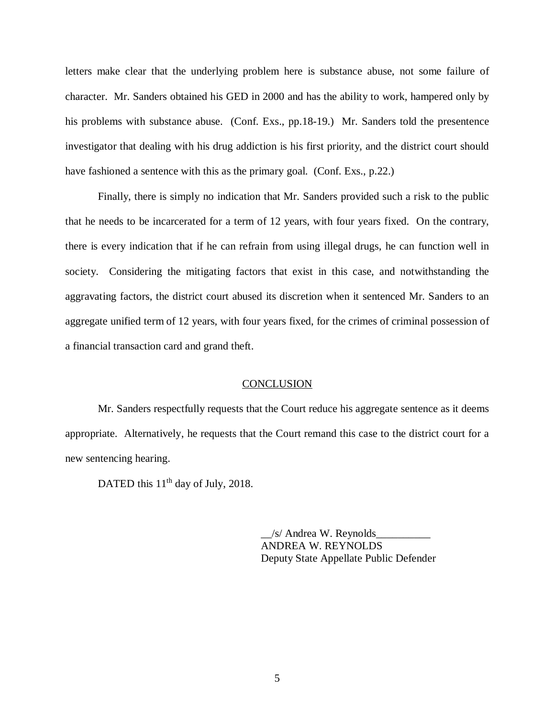letters make clear that the underlying problem here is substance abuse, not some failure of character. Mr. Sanders obtained his GED in 2000 and has the ability to work, hampered only by his problems with substance abuse. (Conf. Exs., pp.18-19.) Mr. Sanders told the presentence investigator that dealing with his drug addiction is his first priority, and the district court should have fashioned a sentence with this as the primary goal. (Conf. Exs., p.22.)

Finally, there is simply no indication that Mr. Sanders provided such a risk to the public that he needs to be incarcerated for a term of 12 years, with four years fixed. On the contrary, there is every indication that if he can refrain from using illegal drugs, he can function well in society. Considering the mitigating factors that exist in this case, and notwithstanding the aggravating factors, the district court abused its discretion when it sentenced Mr. Sanders to an aggregate unified term of 12 years, with four years fixed, for the crimes of criminal possession of a financial transaction card and grand theft.

#### **CONCLUSION**

Mr. Sanders respectfully requests that the Court reduce his aggregate sentence as it deems appropriate. Alternatively, he requests that the Court remand this case to the district court for a new sentencing hearing.

DATED this  $11<sup>th</sup>$  day of July, 2018.

 $/s/$  Andrea W. Reynolds ANDREA W. REYNOLDS Deputy State Appellate Public Defender